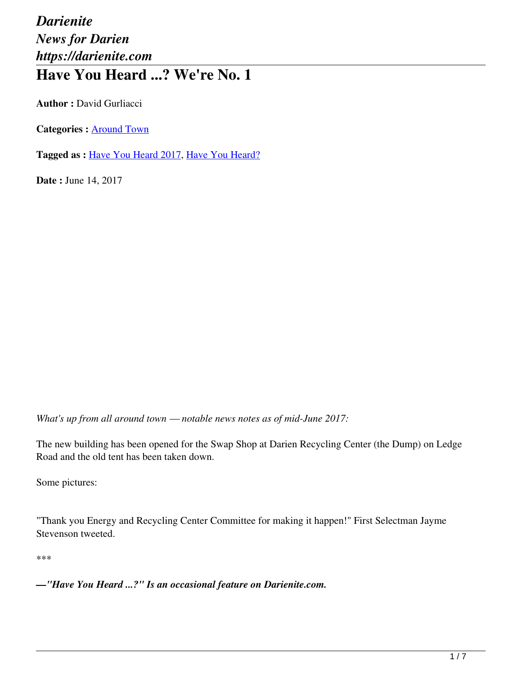## *Darienite News for Darien https://darienite.com* **Have You Heard ...? We're No. 1**

**Author :** David Gurliacci

**Categories :** [Around Town](https://darienite.com/category/news/around-town)

**Tagged as :** Have You Heard 2017, Have You Heard?

**Date : June 14, 2017** 

*What's up from all around town — notable news notes as of mid-June 2017:*

The new building has been opened for the Swap Shop at Darien Recycling Center (the Dump) on Ledge Road and the old tent has been taken down.

Some pictures:

"Thank you Energy and Recycling Center Committee for making it happen!" First Selectman Jayme Stevenson tweeted.

\*\*\*

*—"Have You Heard ...?" Is an occasional feature on Darienite.com.*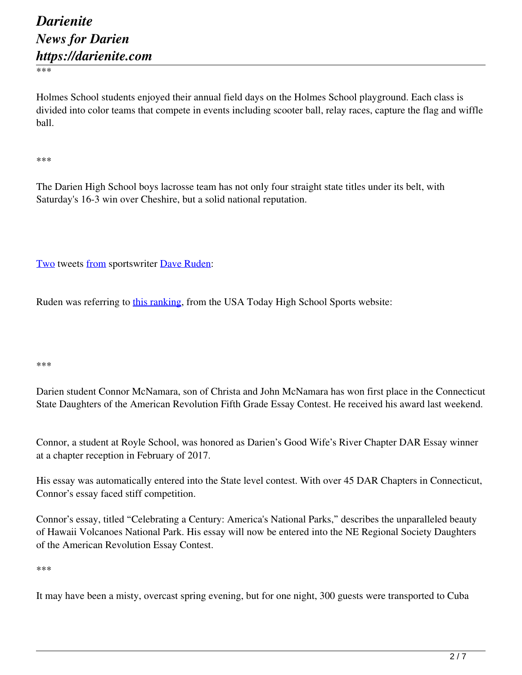\*\*\*

Holmes School students enjoyed their annual field days on the Holmes School playground. Each class is divided into color teams that compete in events including scooter ball, relay races, capture the flag and wiffle ball.

\*\*\*

The Darien High School boys lacrosse team has not only four straight state titles under its belt, with Saturday's 16-3 win over Cheshire, but a solid national reputation.

Two tweets from sportswriter Dave Ruden:

Ruden was referring to this ranking, from the USA Today High School Sports website:

\*\*\*

Darien student Connor McNamara, son of Christa and John McNamara has won first place in the Connecticut State Daughters of the American Revolution Fifth Grade Essay Contest. He received his award last weekend.

Connor, a student at Royle School, was honored as Darien's Good Wife's River Chapter DAR Essay winner at a chapter reception in February of 2017.

His essay was automatically entered into the State level contest. With over 45 DAR Chapters in Connecticut, Connor's essay faced stiff competition.

Connor's essay, titled "Celebrating a Century: America's National Parks," describes the unparalleled beauty of Hawaii Volcanoes National Park. His essay will now be entered into the NE Regional Society Daughters of the American Revolution Essay Contest.

\*\*\*

It may have been a misty, overcast spring evening, but for one night, 300 guests were transported to Cuba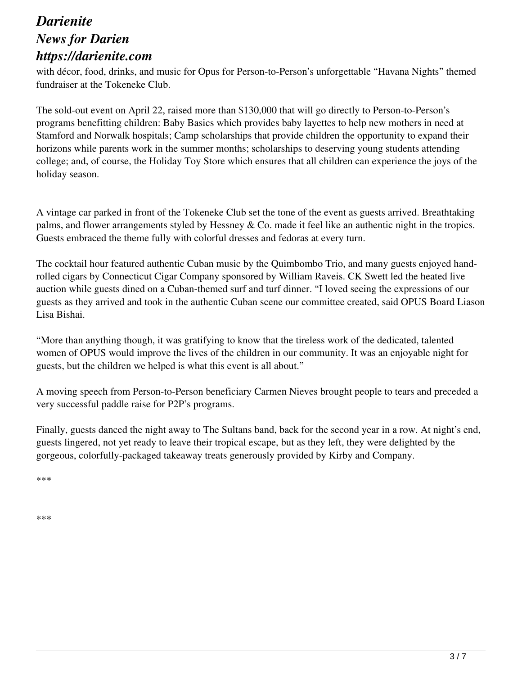## *Darienite News for Darien https://darienite.com*

with décor, food, drinks, and music for Opus for Person-to-Person's unforgettable "Havana Nights" themed fundraiser at the Tokeneke Club.

The sold-out event on April 22, raised more than \$130,000 that will go directly to Person-to-Person's programs benefitting children: Baby Basics which provides baby layettes to help new mothers in need at Stamford and Norwalk hospitals; Camp scholarships that provide children the opportunity to expand their horizons while parents work in the summer months; scholarships to deserving young students attending college; and, of course, the Holiday Toy Store which ensures that all children can experience the joys of the holiday season.

A vintage car parked in front of the Tokeneke Club set the tone of the event as guests arrived. Breathtaking palms, and flower arrangements styled by Hessney & Co. made it feel like an authentic night in the tropics. Guests embraced the theme fully with colorful dresses and fedoras at every turn.

The cocktail hour featured authentic Cuban music by the Quimbombo Trio, and many guests enjoyed handrolled cigars by Connecticut Cigar Company sponsored by William Raveis. CK Swett led the heated live auction while guests dined on a Cuban-themed surf and turf dinner. "I loved seeing the expressions of our guests as they arrived and took in the authentic Cuban scene our committee created, said OPUS Board Liason Lisa Bishai.

"More than anything though, it was gratifying to know that the tireless work of the dedicated, talented women of OPUS would improve the lives of the children in our community. It was an enjoyable night for guests, but the children we helped is what this event is all about."

A moving speech from Person-to-Person beneficiary Carmen Nieves brought people to tears and preceded a very successful paddle raise for P2P's programs.

Finally, guests danced the night away to The Sultans band, back for the second year in a row. At night's end, guests lingered, not yet ready to leave their tropical escape, but as they left, they were delighted by the gorgeous, colorfully-packaged takeaway treats generously provided by Kirby and Company.

\*\*\*

\*\*\*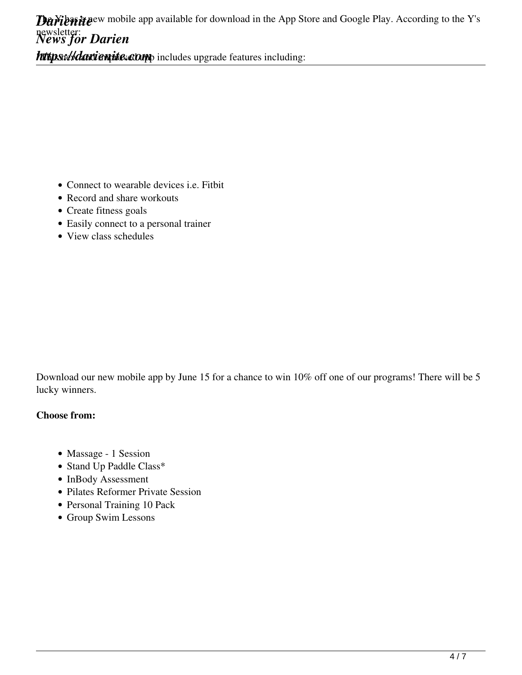https://darientic.comp includes upgrade features including:

- Connect to wearable devices i.e. Fitbit
- Record and share workouts
- Create fitness goals
- Easily connect to a personal trainer
- View class schedules

Download our new mobile app by June 15 for a chance to win 10% off one of our programs! There will be 5 lucky winners.

## **Choose from:**

- Massage 1 Session
- Stand Up Paddle Class\*
- InBody Assessment
- Pilates Reformer Private Session
- Personal Training 10 Pack
- Group Swim Lessons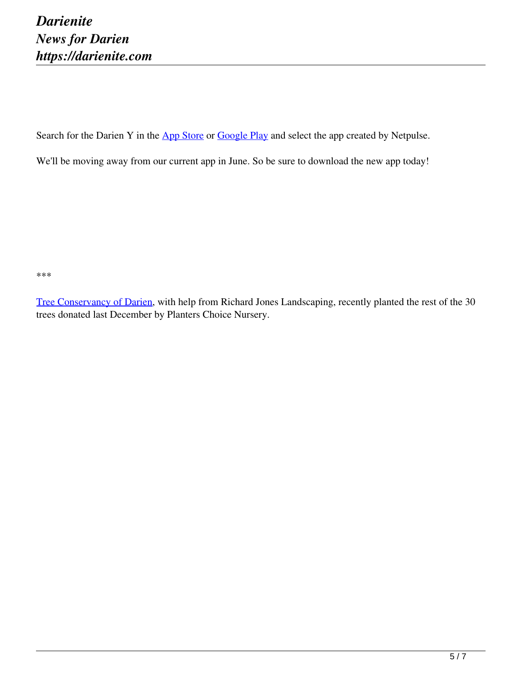Search for the Darien Y in the App Store or Google Play and select the app created by Netpulse.

We'll be moving away from our current app in June. So be sure to download the new app today!

\*\*\*

Tree Conservancy of Darien, with help from Richard Jones Landscaping, recently planted the rest of the 30 trees donated last December by Planters Choice Nursery.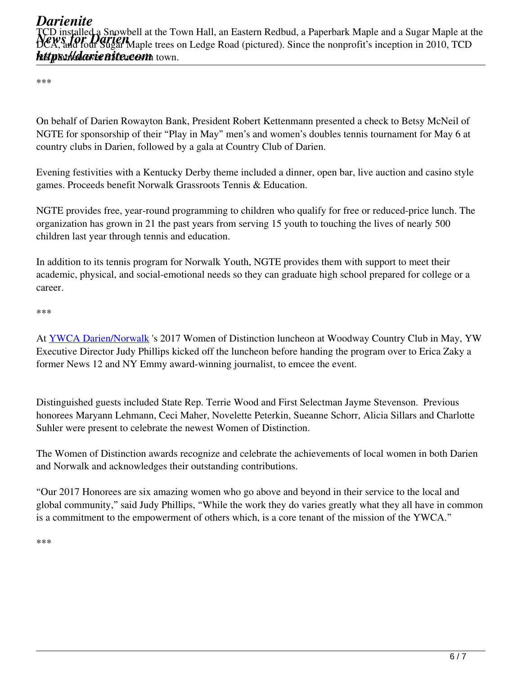\*\*\*

On behalf of Darien Rowayton Bank, President Robert Kettenmann presented a check to Betsy McNeil of NGTE for sponsorship of their "Play in May" men's and women's doubles tennis tournament for May 6 at country clubs in Darien, followed by a gala at Country Club of Darien.

Evening festivities with a Kentucky Derby theme included a dinner, open bar, live auction and casino style games. Proceeds benefit Norwalk Grassroots Tennis & Education.

NGTE provides free, year-round programming to children who qualify for free or reduced-price lunch. The organization has grown in 21 the past years from serving 15 youth to touching the lives of nearly 500 children last year through tennis and education.

In addition to its tennis program for Norwalk Youth, NGTE provides them with support to meet their academic, physical, and social-emotional needs so they can graduate high school prepared for college or a career.

\*\*\*

At YWCA Darien/Norwalk 's 2017 Women of Distinction luncheon at Woodway Country Club in May, YW Executive Director Judy Phillips kicked off the luncheon before handing the program over to Erica Zaky a former News 12 and NY Emmy award-winning journalist, to emcee the event.

Distinguished guests included State Rep. Terrie Wood and First Selectman Jayme Stevenson. Previous honorees Maryann Lehmann, Ceci Maher, Novelette Peterkin, Sueanne Schorr, Alicia Sillars and Charlotte Suhler were present to celebrate the newest Women of Distinction.

The Women of Distinction awards recognize and celebrate the achievements of local women in both Darien and Norwalk and acknowledges their outstanding contributions.

"Our 2017 Honorees are six amazing women who go above and beyond in their service to the local and global community," said Judy Phillips, "While the work they do varies greatly what they all have in common is a commitment to the empowerment of others which, is a core tenant of the mission of the YWCA."

\*\*\*